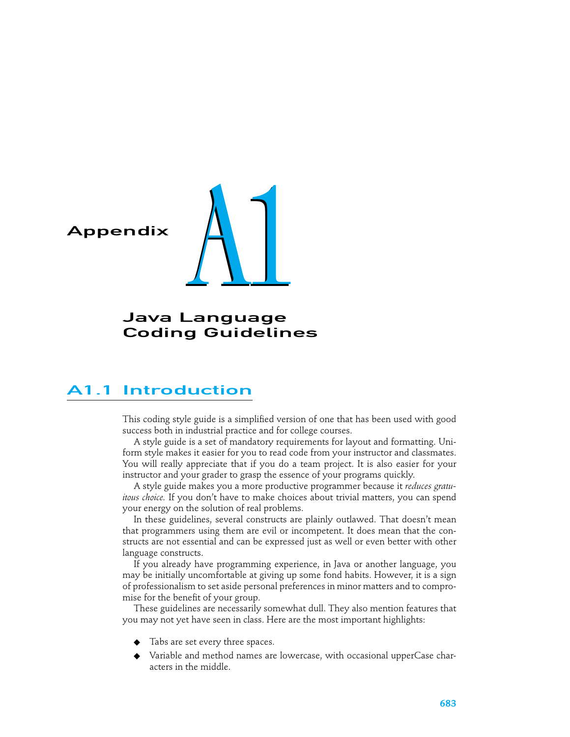

# Java Language Coding Guidelines

# A1.1 Introduction

This coding style guide is a simplified version of one that has been used with good success both in industrial practice and for college courses.

A style guide is a set of mandatory requirements for layout and formatting. Uniform style makes it easier for you to read code from your instructor and classmates. You will really appreciate that if you do a team project. It is also easier for your instructor and your grader to grasp the essence of your programs quickly.

A style guide makes you a more productive programmer because it *reduces gratuitous choice.* If you don't have to make choices about trivial matters, you can spend your energy on the solution of real problems.

In these guidelines, several constructs are plainly outlawed. That doesn't mean that programmers using them are evil or incompetent. It does mean that the constructs are not essential and can be expressed just as well or even better with other language constructs.

If you already have programming experience, in Java or another language, you may be initially uncomfortable at giving up some fond habits. However, it is a sign of professionalism to set aside personal preferences in minor matters and to compromise for the benefit of your group.

These guidelines are necessarily somewhat dull. They also mention features that you may not yet have seen in class. Here are the most important highlights:

- ◆ Tabs are set every three spaces.
- ◆ Variable and method names are lowercase, with occasional upperCase characters in the middle.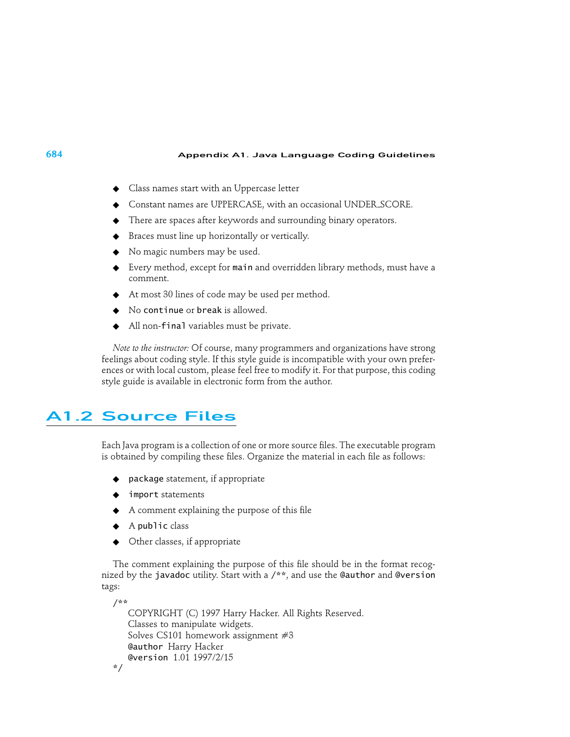- ◆ Class names start with an Uppercase letter
- ◆ Constant names are UPPERCASE, with an occasional UNDER SCORE.
- ◆ There are spaces after keywords and surrounding binary operators.
- ◆ Braces must line up horizontally or vertically.
- ◆ No magic numbers may be used.
- Every method, except for main and overridden library methods, must have a comment.
- At most 30 lines of code may be used per method.
- No continue or break is allowed.
- All non-final variables must be private.

*Note to the instructor:* Of course, many programmers and organizations have strong feelings about coding style. If this style guide is incompatible with your own preferences or with local custom, please feel free to modify it. For that purpose, this coding style guide is available in electronic form from the author.

# A1.2 Source Files

Each Java program is a collection of one or more source files. The executable program is obtained by compiling these files. Organize the material in each file as follows:

- ◆ package statement, if appropriate
- import statements
- A comment explaining the purpose of this file
- $\triangle$  A public class
- ◆ Other classes, if appropriate

The comment explaining the purpose of this file should be in the format recognized by the javadoc utility. Start with a /\*\*, and use the @author and @version tags:

```
/**
   COPYRIGHT (C) 1997 Harry Hacker. All Rights Reserved.
   Classes to manipulate widgets.
   Solves CS101 homework assignment #3@author Harry Hacker
   @version 1.01 1997/2/15
*/
```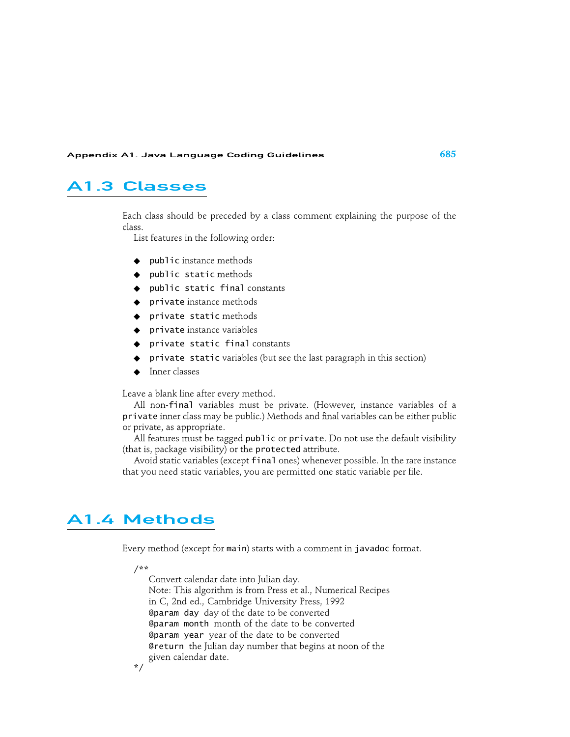## A1.3 Classes

Each class should be preceded by a class comment explaining the purpose of the class.

List features in the following order:

- ◆ public instance methods
- ◆ public static methods
- ◆ public static final constants
- ◆ private instance methods
- ◆ private static methods
- ◆ private instance variables
- ◆ private static final constants
- private static variables (but see the last paragraph in this section)
- Inner classes

Leave a blank line after every method.

All non-final variables must be private. (However, instance variables of a private inner class may be public.) Methods and final variables can be either public or private, as appropriate.

All features must be tagged public or private. Do not use the default visibility (that is, package visibility) or the protected attribute.

Avoid static variables (except final ones) whenever possible. In the rare instance that you need static variables, you are permitted one static variable per file.

# A1.4 Methods

Every method (except for main) starts with a comment in javadoc format.

/\*\*

Convert calendar date into Julian day. Note: This algorithm is from Press et al., Numerical Recipes in C, 2nd ed., Cambridge University Press, 1992 @param day day of the date to be converted @param month month of the date to be converted @param year year of the date to be converted @return the Julian day number that begins at noon of the given calendar date. \*/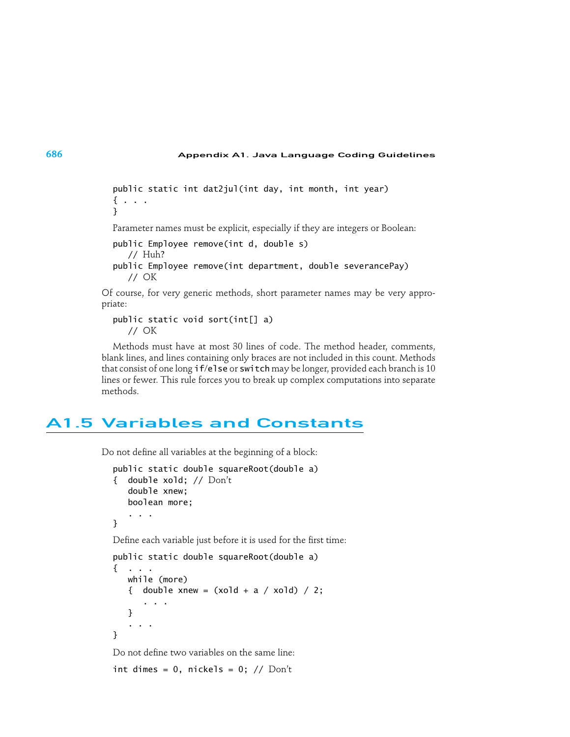```
public static int dat2jul(int day, int month, int year)
\{ \ldots \}}
Parameter names must be explicit, especially if they are integers or Boolean:
public Employee remove(int d, double s)
   // Huh?
public Employee remove(int department, double severancePay)
   // OK
```
Of course, for very generic methods, short parameter names may be very appropriate:

```
public static void sort(int[] a)
   // OK
```
Methods must have at most 30 lines of code. The method header, comments, blank lines, and lines containing only braces are not included in this count. Methods that consist of one long if/else or switch may be longer, provided each branch is 10 lines or fewer. This rule forces you to break up complex computations into separate methods.

# A1.5 Variables and Constants

Do not define all variables at the beginning of a block:

```
public static double squareRoot(double a)
{ double xold; // Don't
   double xnew;
   boolean more;
   ...
}
Define each variable just before it is used for the first time:
public static double squareRoot(double a)
```

```
{ ...
  while (more)
  { double xnew = (xold + a / xold) / 2;
     ...
  }
   ...
}
```
Do not define two variables on the same line:

int dimes = 0, nickels = 0; //  $Don't$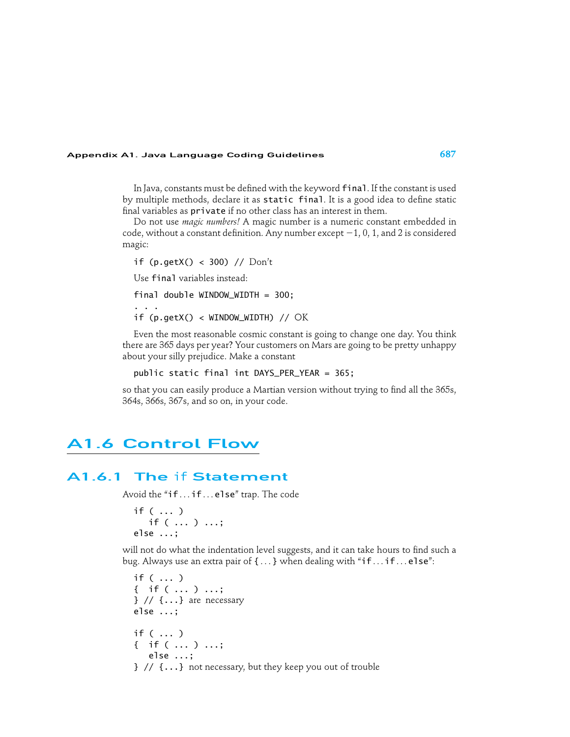In Java, constants must be defined with the keyword final. If the constant is used by multiple methods, declare it as static final. It is a good idea to define static final variables as private if no other class has an interest in them.

Do not use *magic numbers!* A magic number is a numeric constant embedded in code, without a constant definition. Any number except  $-1$ , 0, 1, and 2 is considered magic:

if (p.getX() < 300) // Don't Use final variables instead:

final double  $WINDOW_WIDTH = 300$ ; ...

if (p.getX() < WINDOW\_WIDTH) // OK

Even the most reasonable cosmic constant is going to change one day. You think there are 365 days per year? Your customers on Mars are going to be pretty unhappy about your silly prejudice. Make a constant

public static final int DAYS\_PER\_YEAR = 365;

so that you can easily produce a Martian version without trying to find all the 365s, 364s, 366s, 367s, and so on, in your code.

# A1.6 Control Flow

### A1.6.1 The if Statement

Avoid the "if ... if ... else" trap. The code

```
if ( ... )
   if ( ... ) ...;
else ...;
```
will not do what the indentation level suggests, and it can take hours to find such a bug. Always use an extra pair of {...} when dealing with "if... if... else":

```
if ( ... )
{ if ( ... ) ...;
} // {\dots} are necessary
else ...;
if ( ... )
{ if ( ... ) ...;
   else ...;
}// {...} not necessary, but they keep you out of trouble
```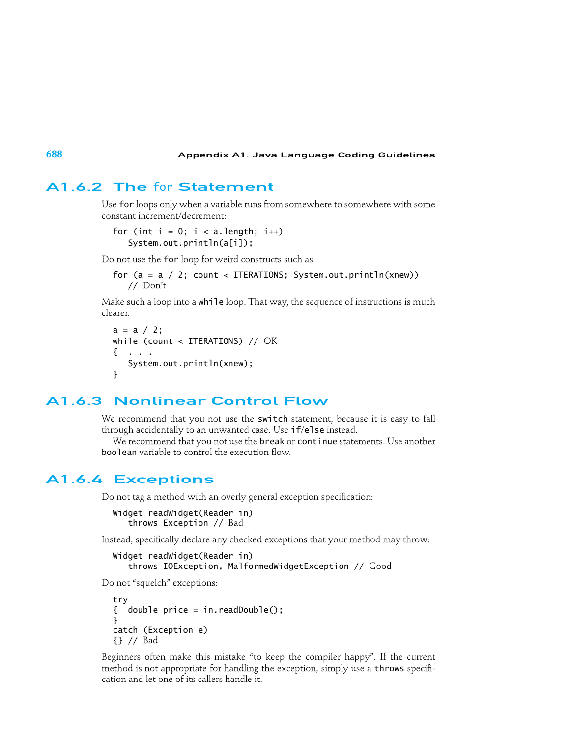## A1.6.2 The for Statement

Use for loops only when a variable runs from somewhere to somewhere with some constant increment/decrement:

```
for (int i = 0; i < a. length; i++)System.out.println(a[i]);
```
Do not use the for loop for weird constructs such as

```
for (a = a / 2; count < IIERATIONS; System.out.println(xnew))// Don't
```
Make such a loop into a while loop. That way, the sequence of instructions is much clearer.

```
a = a / 2;while (count < ITERATIONS) // OK
{ ...
   System.out.println(xnew);
}
```
## A1.6.3 Nonlinear Control Flow

We recommend that you not use the switch statement, because it is easy to fall through accidentally to an unwanted case. Use if/else instead.

We recommend that you not use the break or continue statements. Use another boolean variable to control the execution flow.

## A1.6.4 Exceptions

Do not tag a method with an overly general exception specification:

Widget readWidget(Reader in) throws Exception // Bad

Instead, specifically declare any checked exceptions that your method may throw:

```
Widget readWidget(Reader in)
   throws IOException, MalformedWidgetException // Good
```
Do not "squelch" exceptions:

```
try
{ double price = in.readDouble();
}
catch (Exception e)
{}// Bad
```
Beginners often make this mistake "to keep the compiler happy". If the current method is not appropriate for handling the exception, simply use a throws specification and let one of its callers handle it.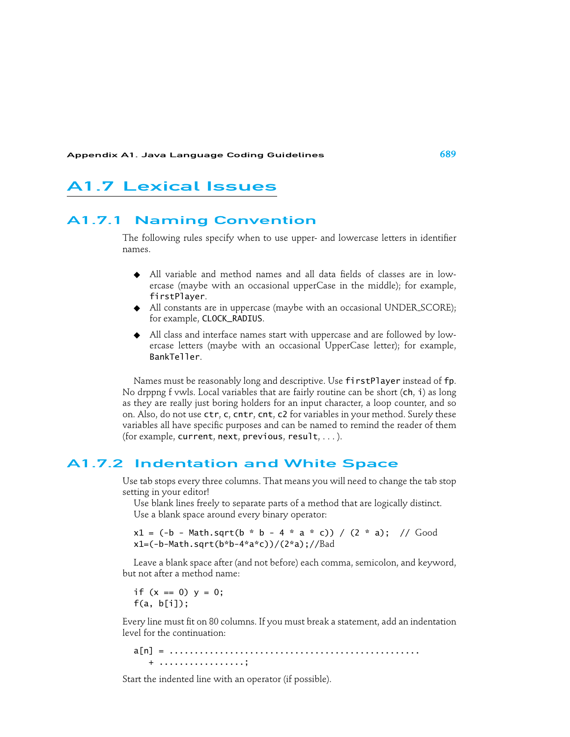## A1.7 Lexical Issues

### A1.7.1 Naming Convention

The following rules specify when to use upper- and lowercase letters in identifier names.

- ◆ All variable and method names and all data fields of classes are in lowercase (maybe with an occasional upperCase in the middle); for example, firstPlayer.
- ◆ All constants are in uppercase (maybe with an occasional UNDER SCORE); for example, CLOCK\_RADIUS.
- ◆ All class and interface names start with uppercase and are followed by lowercase letters (maybe with an occasional UpperCase letter); for example, BankTeller.

Names must be reasonably long and descriptive. Use firstPlayer instead of fp. No drppng f vwls. Local variables that are fairly routine can be short (ch, i) as long as they are really just boring holders for an input character, a loop counter, and so on. Also, do not use ctr, c, cntr, cnt, c2 for variables in your method. Surely these variables all have specific purposes and can be named to remind the reader of them (for example, current, next, previous, result, . . . ).

### A1.7.2 Indentation and White Space

Use tab stops every three columns. That means you will need to change the tab stop setting in your editor!

Use blank lines freely to separate parts of a method that are logically distinct. Use a blank space around every binary operator:

 $x1 = (-b - Math.sqrt(b * b - 4 * a * c)) / (2 * a); // Good$ x1=(-b-Math.sqrt(b\*b-4\*a\*c))/(2\*a);//Bad

Leave a blank space after (and not before) each comma, semicolon, and keyword, but not after a method name:

if  $(x == 0)$   $y = 0$ ; f(a, b[i]);

Every line must fit on 80 columns. If you must break a statement, add an indentation level for the continuation:

a[n] = .................................................. + .................;

Start the indented line with an operator (if possible).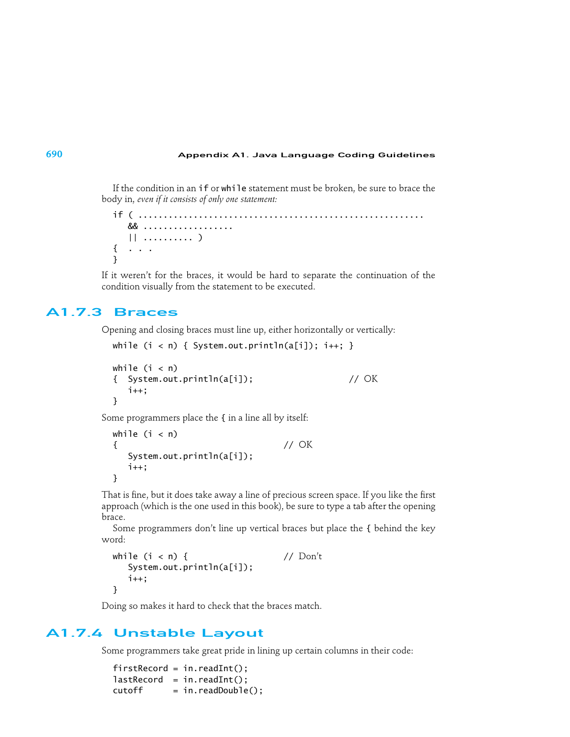If the condition in an if or while statement must be broken, be sure to brace the body in, *even if it consists of only one statement:*

```
if ( .........................................................
   && ..................
   || .......... )
\{ \ldots \}}
```
If it weren't for the braces, it would be hard to separate the continuation of the condition visually from the statement to be executed.

### A1.7.3 Braces

Opening and closing braces must line up, either horizontally or vertically:

```
while (i < n) { System.out.println(a[i]); i++; }
while (i < n){ System.out.println(a[i]); // OK
  i++;
}
```
Some programmers place the { in a line all by itself:

```
while (i < n){ // OK
 System.out.println(a[i]);
 i++;
}
```
That is fine, but it does take away a line of precious screen space. If you like the first approach (which is the one used in this book), be sure to type a tab after the opening brace.

Some programmers don't line up vertical braces but place the { behind the key word:

```
while (i < n) { // Don't
  System.out.println(a[i]);
  i++;
}
```
Doing so makes it hard to check that the braces match.

### A1.7.4 Unstable Layout

Some programmers take great pride in lining up certain columns in their code:

```
firstRecord = in.readInt();
lastRecord = in.readInt();cutoff = in.readDouble();
```